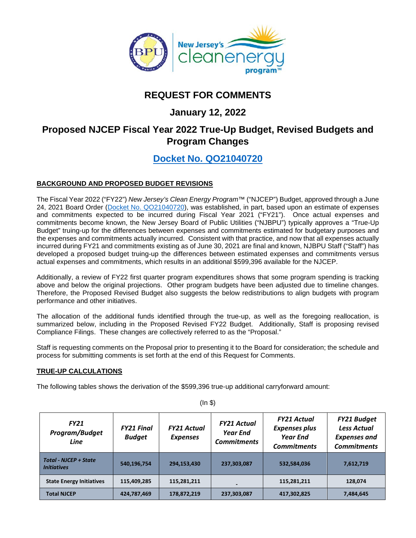

# **REQUEST FOR COMMENTS**

## **January 12, 2022**

## **Proposed NJCEP Fiscal Year 2022 True-Up Budget, Revised Budgets and Program Changes**

## **[Docket No. QO21040720](https://publicaccess.bpu.state.nj.us/CaseSummary.aspx?case_id=2110342)**

## **BACKGROUND AND PROPOSED BUDGET REVISIONS**

The Fiscal Year 2022 ("FY22") *New Jersey's Clean Energy Program™* ("NJCEP") Budget, approved through a June 24, 2021 Board Order [\(Docket No. QO21040720\)](https://publicaccess.bpu.state.nj.us/CaseSummary.aspx?case_id=2110342), was established, in part, based upon an estimate of expenses and commitments expected to be incurred during Fiscal Year 2021 ("FY21"). Once actual expenses and commitments become known, the New Jersey Board of Public Utilities ("NJBPU") typically approves a "True-Up Budget" truing-up for the differences between expenses and commitments estimated for budgetary purposes and the expenses and commitments actually incurred. Consistent with that practice, and now that all expenses actually incurred during FY21 and commitments existing as of June 30, 2021 are final and known, NJBPU Staff ("Staff") has developed a proposed budget truing-up the differences between estimated expenses and commitments versus actual expenses and commitments, which results in an additional \$599,396 available for the NJCEP.

Additionally, a review of FY22 first quarter program expenditures shows that some program spending is tracking above and below the original projections. Other program budgets have been adjusted due to timeline changes. Therefore, the Proposed Revised Budget also suggests the below redistributions to align budgets with program performance and other initiatives.

The allocation of the additional funds identified through the true-up, as well as the foregoing reallocation, is summarized below, including in the Proposed Revised FY22 Budget. Additionally, Staff is proposing revised Compliance Filings. These changes are collectively referred to as the "Proposal."

Staff is requesting comments on the Proposal prior to presenting it to the Board for consideration; the schedule and process for submitting comments is set forth at the end of this Request for Comments.

### **TRUE-UP CALCULATIONS**

The following tables shows the derivation of the \$599,396 true-up additional carryforward amount:

| <b>FY21</b><br>Program/Budget<br>Line              | <b>FY21 Final</b><br><b>Budget</b> | <b>FY21 Actual</b><br><b>Expenses</b> | <b>FY21 Actual</b><br><b>Year End</b><br><b>Commitments</b> | <b>FY21 Actual</b><br><b>Expenses plus</b><br><b>Year End</b><br><b>Commitments</b> | <b>FY21 Budget</b><br><b>Less Actual</b><br><b>Expenses and</b><br><b>Commitments</b> |
|----------------------------------------------------|------------------------------------|---------------------------------------|-------------------------------------------------------------|-------------------------------------------------------------------------------------|---------------------------------------------------------------------------------------|
| <b>Total - NJCEP + State</b><br><b>Initiatives</b> | 540,196,754                        | 294,153,430                           | 237,303,087                                                 | 532,584,036                                                                         | 7,612,719                                                                             |
| <b>State Energy Initiatives</b>                    | 115,409,285                        | 115,281,211                           | $\overline{\phantom{a}}$                                    | 115,281,211                                                                         | 128,074                                                                               |
| <b>Total NJCEP</b>                                 | 424,787,469                        | 178,872,219                           | 237,303,087                                                 | 417,302,825                                                                         | 7,484,645                                                                             |

(In \$)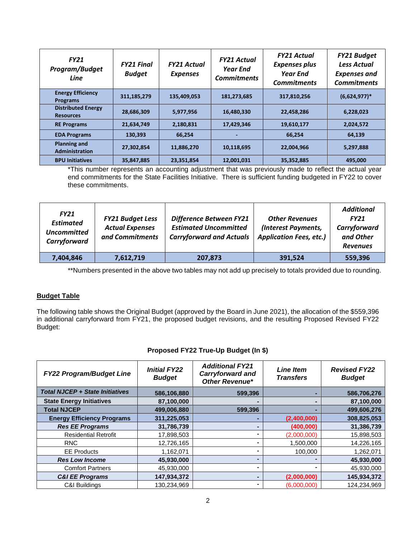| <b>FY21</b><br>Program/Budget<br>Line         | <b>FY21 Final</b><br><b>Budget</b> | <b>FY21 Actual</b><br><b>Expenses</b> | <b>FY21 Actual</b><br><b>Year End</b><br><b>Commitments</b> | <b>FY21 Actual</b><br><b>Expenses plus</b><br>Year End<br><b>Commitments</b> | <b>FY21 Budget</b><br><b>Less Actual</b><br>Expenses and<br><b>Commitments</b> |
|-----------------------------------------------|------------------------------------|---------------------------------------|-------------------------------------------------------------|------------------------------------------------------------------------------|--------------------------------------------------------------------------------|
| <b>Energy Efficiency</b><br><b>Programs</b>   | 311,185,279                        | 135,409,053                           | 181,273,685                                                 | 317,810,256                                                                  | $(6,624,977)*$                                                                 |
| <b>Distributed Energy</b><br><b>Resources</b> | 28,686,309                         | 5,977,956                             | 16,480,330                                                  | 22,458,286                                                                   | 6,228,023                                                                      |
| <b>RE Programs</b>                            | 21,634,749                         | 2,180,831                             | 17,429,346                                                  | 19,610,177                                                                   | 2,024,572                                                                      |
| <b>EDA Programs</b>                           | 130,393                            | 66,254                                |                                                             | 66,254                                                                       | 64,139                                                                         |
| <b>Planning and</b><br>Administration         | 27,302,854                         | 11,886,270                            | 10,118,695                                                  | 22,004,966                                                                   | 5,297,888                                                                      |
| <b>BPU Initiatives</b>                        | 35,847,885                         | 23,351,854                            | 12,001,031                                                  | 35,352,885                                                                   | 495.000                                                                        |

\*This number represents an accounting adjustment that was previously made to reflect the actual year end commitments for the State Facilities Initiative. There is sufficient funding budgeted in FY22 to cover these commitments.

| <b>FY21</b><br><b>Estimated</b><br><b>Uncommitted</b><br>Carryforward | <b>FY21 Budget Less</b><br><b>Actual Expenses</b><br>and Commitments | Difference Between FY21<br><b>Estimated Uncommitted</b><br><b>Carryforward and Actuals</b> | <b>Other Revenues</b><br>(Interest Payments,<br><b>Application Fees, etc.)</b> | <b>Additional</b><br><b>FY21</b><br>Carryforward<br>and Other<br><b>Revenues</b> |
|-----------------------------------------------------------------------|----------------------------------------------------------------------|--------------------------------------------------------------------------------------------|--------------------------------------------------------------------------------|----------------------------------------------------------------------------------|
| 7,404,846                                                             | 7,612,719                                                            | 207,873                                                                                    | 391,524                                                                        | 559,396                                                                          |

\*\*Numbers presented in the above two tables may not add up precisely to totals provided due to rounding.

#### **Budget Table**

The following table shows the Original Budget (approved by the Board in June 2021), the allocation of the \$559,396 in additional carryforward from FY21, the proposed budget revisions, and the resulting Proposed Revised FY22 Budget:

#### **Proposed FY22 True-Up Budget (In \$)**

| <b>FY22 Program/Budget Line</b>        | <b>Initial FY22</b><br><b>Budget</b> | <b>Additional FY21</b><br><b>Carryforward and</b><br><b>Other Revenue*</b> | <b>Line Item</b><br><b>Transfers</b> | <b>Revised FY22</b><br><b>Budget</b> |
|----------------------------------------|--------------------------------------|----------------------------------------------------------------------------|--------------------------------------|--------------------------------------|
| <b>Total NJCEP + State Initiatives</b> | 586,106,880                          | 599,396                                                                    |                                      | 586,706,276                          |
| <b>State Energy Initiatives</b>        | 87,100,000                           |                                                                            |                                      | 87,100,000                           |
| <b>Total NJCEP</b>                     | 499,006,880                          | 599.396                                                                    |                                      | 499,606,276                          |
| <b>Energy Efficiency Programs</b>      | 311,225,053                          |                                                                            | (2,400,000)                          | 308,825,053                          |
| <b>Res EE Programs</b>                 | 31,786,739                           | $\blacksquare$                                                             | (400,000)                            | 31,386,739                           |
| <b>Residential Retrofit</b>            | 17,898,503                           |                                                                            | (2,000,000)                          | 15,898,503                           |
| <b>RNC</b>                             | 12,726,165                           |                                                                            | 1,500,000                            | 14,226,165                           |
| <b>EE</b> Products                     | 1,162,071                            |                                                                            | 100.000                              | 1,262,071                            |
| <b>Res Low Income</b>                  | 45,930,000                           | ۰                                                                          |                                      | 45,930,000                           |
| <b>Comfort Partners</b>                | 45,930,000                           | ۰                                                                          |                                      | 45,930,000                           |
| <b>C&amp;I EE Programs</b>             | 147,934,372                          | $\blacksquare$                                                             | (2,000,000)                          | 145,934,372                          |
| C&I Buildings                          | 130,234,969                          |                                                                            | (6,000,000)                          | 124,234,969                          |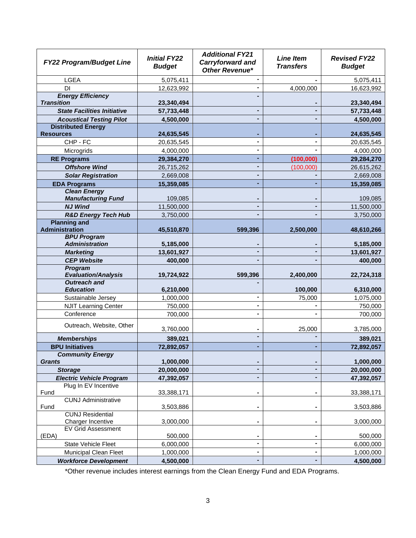| <b>FY22 Program/Budget Line</b>                       | <b>Initial FY22</b><br><b>Budget</b> | <b>Additional FY21</b><br><b>Carryforward and</b><br><b>Other Revenue*</b> | <b>Line Item</b><br><b>Transfers</b> | <b>Revised FY22</b><br><b>Budget</b> |  |
|-------------------------------------------------------|--------------------------------------|----------------------------------------------------------------------------|--------------------------------------|--------------------------------------|--|
| <b>LGEA</b>                                           | 5,075,411                            | $\blacksquare$                                                             |                                      | 5,075,411                            |  |
| <b>DI</b>                                             | 12,623,992                           | $\blacksquare$                                                             | 4,000,000                            | 16,623,992                           |  |
| <b>Energy Efficiency</b><br><b>Transition</b>         | 23,340,494                           |                                                                            |                                      | 23,340,494                           |  |
| <b>State Facilities Initiative</b>                    | 57,733,448                           |                                                                            |                                      | 57,733,448                           |  |
| <b>Acoustical Testing Pilot</b>                       | 4,500,000                            |                                                                            |                                      | 4,500,000                            |  |
| <b>Distributed Energy</b>                             |                                      |                                                                            |                                      |                                      |  |
| <b>Resources</b>                                      | 24,635,545                           |                                                                            |                                      | 24,635,545                           |  |
| CHP - FC                                              | 20,635,545                           |                                                                            |                                      | 20,635,545                           |  |
| Microgrids                                            | 4,000,000                            |                                                                            |                                      | 4,000,000                            |  |
| <b>RE Programs</b>                                    | 29,384,270                           |                                                                            | (100,000)                            | 29,284,270                           |  |
| <b>Offshore Wind</b>                                  | 26,715,262                           |                                                                            | (100,000)                            | 26,615,262                           |  |
| <b>Solar Registration</b>                             | 2,669,008                            |                                                                            |                                      | 2,669,008                            |  |
| <b>EDA Programs</b>                                   | 15,359,085                           |                                                                            |                                      | 15,359,085                           |  |
| <b>Clean Energy</b>                                   |                                      |                                                                            |                                      |                                      |  |
| <b>Manufacturing Fund</b>                             | 109,085                              |                                                                            |                                      | 109,085                              |  |
| <b>NJ Wind</b>                                        | 11,500,000                           |                                                                            |                                      | 11,500,000                           |  |
| <b>R&amp;D Energy Tech Hub</b><br><b>Planning and</b> | 3,750,000                            |                                                                            |                                      | 3,750,000                            |  |
| <b>Administration</b>                                 | 45,510,870                           | 599,396                                                                    | 2,500,000                            | 48,610,266                           |  |
| <b>BPU Program</b>                                    |                                      |                                                                            |                                      |                                      |  |
| <b>Administration</b>                                 | 5,185,000                            |                                                                            |                                      | 5,185,000                            |  |
| <b>Marketing</b>                                      | 13,601,927                           |                                                                            |                                      | 13,601,927                           |  |
| <b>CEP Website</b>                                    | 400,000                              |                                                                            |                                      | 400,000                              |  |
| Program<br><b>Evaluation/Analysis</b>                 | 19,724,922                           | 599,396                                                                    | 2,400,000                            | 22,724,318                           |  |
| <b>Outreach and</b>                                   |                                      |                                                                            |                                      |                                      |  |
| <b>Education</b>                                      | 6,210,000                            |                                                                            | 100,000                              | 6,310,000                            |  |
| Sustainable Jersey                                    | 1,000,000                            |                                                                            | 75,000                               | 1,075,000                            |  |
| <b>NJIT Learning Center</b>                           | 750,000                              |                                                                            |                                      | 750,000                              |  |
| Conference                                            | 700,000                              |                                                                            |                                      | 700,000                              |  |
| Outreach, Website, Other                              | 3,760,000                            |                                                                            | 25,000                               | 3,785,000                            |  |
| <b>Memberships</b>                                    | 389,021                              |                                                                            |                                      | 389,021                              |  |
| <b>BPU Initiatives</b>                                | 72,892,057                           |                                                                            |                                      | 72,892,057                           |  |
| <b>Community Energy</b><br><b>Grants</b>              | 1,000,000                            |                                                                            |                                      | 1,000,000                            |  |
| <b>Storage</b>                                        | 20,000,000                           |                                                                            |                                      | 20,000,000                           |  |
| <b>Electric Vehicle Program</b>                       | 47,392,057                           |                                                                            |                                      | 47,392,057                           |  |
| Plug In EV Incentive<br>Fund                          | 33,388,171                           | $\blacksquare$                                                             | ۰                                    | 33,388,171                           |  |
| <b>CUNJ Administrative</b><br>Fund                    | 3,503,886                            | $\blacksquare$                                                             | ۰                                    | 3,503,886                            |  |
| <b>CUNJ Residential</b><br>Charger Incentive          | 3,000,000                            | $\blacksquare$                                                             | ۰                                    | 3,000,000                            |  |
| <b>EV Grid Assessment</b><br>(EDA)                    | 500,000                              |                                                                            |                                      | 500,000                              |  |
| <b>State Vehicle Fleet</b>                            | 6,000,000                            | $\blacksquare$                                                             | ۰                                    | 6,000,000                            |  |
| <b>Municipal Clean Fleet</b>                          | 1,000,000                            | $\blacksquare$                                                             |                                      | 1,000,000                            |  |
| <b>Workforce Development</b>                          | 4,500,000                            |                                                                            | ٠                                    | 4,500,000                            |  |

\*Other revenue includes interest earnings from the Clean Energy Fund and EDA Programs.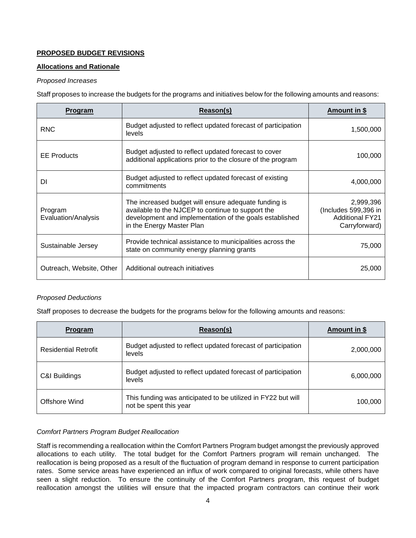## **PROPOSED BUDGET REVISIONS**

### **Allocations and Rationale**

### *Proposed Increases*

Staff proposes to increase the budgets for the programs and initiatives below for the following amounts and reasons:

| <b>Program</b>                 | Reason(s)                                                                                                                                                                                         | <u>Amount in \$</u>                                                          |
|--------------------------------|---------------------------------------------------------------------------------------------------------------------------------------------------------------------------------------------------|------------------------------------------------------------------------------|
| <b>RNC</b>                     | Budget adjusted to reflect updated forecast of participation<br>levels                                                                                                                            | 1,500,000                                                                    |
| <b>EE</b> Products             | Budget adjusted to reflect updated forecast to cover<br>additional applications prior to the closure of the program                                                                               | 100,000                                                                      |
| DI                             | Budget adjusted to reflect updated forecast of existing<br>commitments                                                                                                                            | 4,000,000                                                                    |
| Program<br>Evaluation/Analysis | The increased budget will ensure adequate funding is<br>available to the NJCEP to continue to support the<br>development and implementation of the goals established<br>in the Energy Master Plan | 2,999,396<br>(Includes 599,396 in<br><b>Additional FY21</b><br>Carryforward) |
| Sustainable Jersey             | Provide technical assistance to municipalities across the<br>state on community energy planning grants                                                                                            | 75,000                                                                       |
| Outreach, Website, Other       | Additional outreach initiatives                                                                                                                                                                   | 25,000                                                                       |

### *Proposed Deductions*

Staff proposes to decrease the budgets for the programs below for the following amounts and reasons:

| <b>Program</b>              | Reason(s)                                                                              | Amount in \$ |
|-----------------------------|----------------------------------------------------------------------------------------|--------------|
| <b>Residential Retrofit</b> | Budget adjusted to reflect updated forecast of participation<br>levels                 | 2,000,000    |
| C&I Buildings               | Budget adjusted to reflect updated forecast of participation<br>levels                 | 6,000,000    |
| Offshore Wind               | This funding was anticipated to be utilized in FY22 but will<br>not be spent this year | 100,000      |

### *Comfort Partners Program Budget Reallocation*

Staff is recommending a reallocation within the Comfort Partners Program budget amongst the previously approved allocations to each utility. The total budget for the Comfort Partners program will remain unchanged. The reallocation is being proposed as a result of the fluctuation of program demand in response to current participation rates. Some service areas have experienced an influx of work compared to original forecasts, while others have seen a slight reduction. To ensure the continuity of the Comfort Partners program, this request of budget reallocation amongst the utilities will ensure that the impacted program contractors can continue their work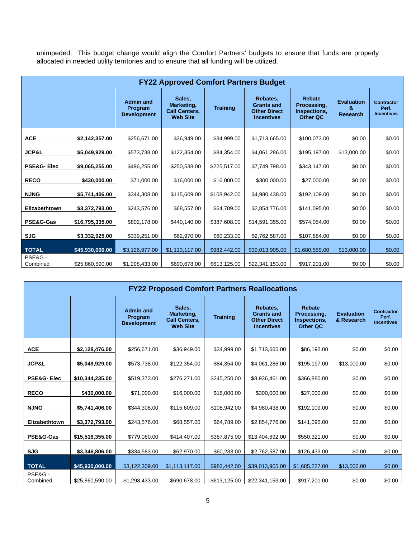unimpeded. This budget change would align the Comfort Partners' budgets to ensure that funds are properly allocated in needed utility territories and to ensure that all funding will be utilized.

| <b>FY22 Approved Comfort Partners Budget</b> |                 |                                                   |                                                                 |                 |                                                                           |                                                          |                                           |                                                 |
|----------------------------------------------|-----------------|---------------------------------------------------|-----------------------------------------------------------------|-----------------|---------------------------------------------------------------------------|----------------------------------------------------------|-------------------------------------------|-------------------------------------------------|
|                                              |                 | <b>Admin and</b><br>Program<br><b>Development</b> | Sales,<br>Marketing,<br><b>Call Centers,</b><br><b>Web Site</b> | <b>Training</b> | Rebates,<br><b>Grants and</b><br><b>Other Direct</b><br><b>Incentives</b> | Rebate<br>Processing,<br>Inspections,<br><b>Other QC</b> | <b>Evaluation</b><br>&<br><b>Research</b> | <b>Contractor</b><br>Perf.<br><b>Incentives</b> |
| <b>ACE</b>                                   | \$2,142,357.00  | \$256,671.00                                      | \$36,949.00                                                     | \$34,999.00     | \$1,713,665.00                                                            | \$100,073.00                                             | \$0.00                                    | \$0.00                                          |
| <b>JCP&amp;L</b>                             | \$5,049,929.00  | \$573,738.00                                      | \$122,354.00                                                    | \$84,354.00     | \$4,061,286.00                                                            | \$195,197.00                                             | \$13,000.00                               | \$0.00                                          |
| <b>PSE&amp;G-Elec</b>                        | \$9,065,255.00  | \$496,255.00                                      | \$250,538.00                                                    | \$225,517.00    | \$7,749,798.00                                                            | \$343,147.00                                             | \$0.00                                    | \$0.00                                          |
| <b>RECO</b>                                  | \$430,000.00    | \$71,000.00                                       | \$16,000.00                                                     | \$16,000.00     | \$300,000.00                                                              | \$27,000.00                                              | \$0.00                                    | \$0.00                                          |
| <b>NJNG</b>                                  | \$5,741,406.00  | \$344,308.00                                      | \$115,609.00                                                    | \$108,942.00    | \$4,980,438.00                                                            | \$192,109.00                                             | \$0.00                                    | \$0.00                                          |
| Elizabethtown                                | \$3,372,793.00  | \$243,576.00                                      | \$68,557.00                                                     | \$64,789.00     | \$2,854,776.00                                                            | \$141,095.00                                             | \$0.00                                    | \$0.00                                          |
| PSE&G-Gas                                    | \$16,795,335.00 | \$802,178.00                                      | \$440,140.00                                                    | \$387,608.00    | \$14,591,355.00                                                           | \$574,054.00                                             | \$0.00                                    | \$0.00                                          |
| <b>SJG</b>                                   | \$3,332,925.00  | \$339,251.00                                      | \$62,970.00                                                     | \$60,233.00     | \$2,762,587.00                                                            | \$107,884.00                                             | \$0.00                                    | \$0.00                                          |
| <b>TOTAL</b>                                 | \$45,930,000.00 | \$3,126,977.00                                    | \$1,113,117.00                                                  | \$982,442.00    | \$39,013,905.00                                                           | \$1,680,559.00                                           | \$13,000.00                               | \$0.00                                          |
| PSE&G-<br>Combined                           | \$25,860,590.00 | \$1,298,433.00                                    | \$690,678.00                                                    | \$613,125.00    | \$22,341,153.00                                                           | \$917,201.00                                             | \$0.00                                    | \$0.00                                          |

| <b>FY22 Proposed Comfort Partners Reallocations</b> |                 |                                                   |                                                                 |                 |                                                                           |                                                          |                                 |                                                 |  |
|-----------------------------------------------------|-----------------|---------------------------------------------------|-----------------------------------------------------------------|-----------------|---------------------------------------------------------------------------|----------------------------------------------------------|---------------------------------|-------------------------------------------------|--|
|                                                     |                 | <b>Admin and</b><br>Program<br><b>Development</b> | Sales,<br>Marketing.<br><b>Call Centers,</b><br><b>Web Site</b> | <b>Training</b> | Rebates,<br><b>Grants and</b><br><b>Other Direct</b><br><b>Incentives</b> | Rebate<br>Processing.<br>Inspections,<br><b>Other QC</b> | <b>Evaluation</b><br>& Research | <b>Contractor</b><br>Perf.<br><b>Incentives</b> |  |
| <b>ACE</b>                                          | \$2,128,476.00  | \$256,671.00                                      | \$36,949.00                                                     | \$34,999.00     | \$1,713,665.00                                                            | \$86,192.00                                              | \$0.00                          | \$0.00                                          |  |
| <b>JCP&amp;L</b>                                    | \$5,049,929.00  | \$573,738.00                                      | \$122,354.00                                                    | \$84,354.00     | \$4,061,286.00                                                            | \$195,197.00                                             | \$13,000.00                     | \$0.00                                          |  |
| <b>PSE&amp;G-Elec</b>                               | \$10,344,235.00 | \$519,373.00                                      | \$276,271.00                                                    | \$245,250.00    | \$8,936,461.00                                                            | \$366,880.00                                             | \$0.00                          | \$0.00                                          |  |
| <b>RECO</b>                                         | \$430,000.00    | \$71,000.00                                       | \$16,000.00                                                     | \$16,000.00     | \$300,000.00                                                              | \$27,000.00                                              | \$0.00                          | \$0.00                                          |  |
| <b>NJNG</b>                                         | \$5,741,406.00  | \$344,308.00                                      | \$115,609.00                                                    | \$108,942.00    | \$4,980,438.00                                                            | \$192,109.00                                             | \$0.00                          | \$0.00                                          |  |
| Elizabethtown                                       | \$3,372,793.00  | \$243,576.00                                      | \$68,557.00                                                     | \$64,789.00     | \$2,854,776.00                                                            | \$141,095.00                                             | \$0.00                          | \$0.00                                          |  |
| PSE&G-Gas                                           | \$15,516,355.00 | \$779,060.00                                      | \$414,407.00                                                    | \$367,875.00    | \$13,404,692.00                                                           | \$550,321.00                                             | \$0.00                          | \$0.00                                          |  |
| <b>SJG</b>                                          | \$3,346,806.00  | \$334,583.00                                      | \$62,970.00                                                     | \$60,233.00     | \$2,762,587.00                                                            | \$126,433.00                                             | \$0.00                          | \$0.00                                          |  |
| <b>TOTAL</b>                                        | \$45,930,000.00 | \$3,122,309.00                                    | \$1,113,117.00                                                  | \$982,442.00    | \$39,013,905.00                                                           | \$1,685,227.00                                           | \$13,000.00                     | \$0.00                                          |  |
| PSE&G-<br>Combined                                  | \$25,860,590.00 | \$1,298,433.00                                    | \$690,678.00                                                    | \$613,125.00    | \$22,341,153.00                                                           | \$917,201.00                                             | \$0.00                          | \$0.00                                          |  |